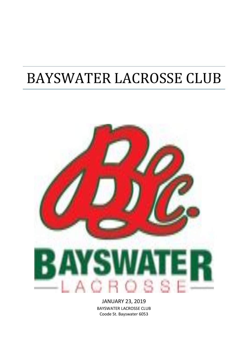# BAYSWATER LACROSSE CLUB



JANUARY 23, 2019 BAYSWATER LACROSSE CLUB Coode St. Bayswater 6053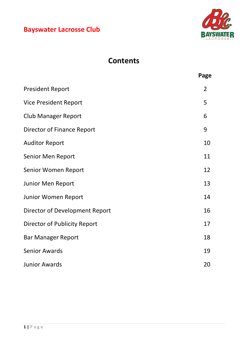

# **Contents**

|                                | Page |
|--------------------------------|------|
| <b>President Report</b>        | 2    |
| <b>Vice President Report</b>   | 5    |
| <b>Club Manager Report</b>     | 6    |
| Director of Finance Report     | 9    |
| <b>Auditor Report</b>          | 10   |
| Senior Men Report              | 11   |
| Senior Women Report            | 12   |
| Junior Men Report              | 13   |
| <b>Junior Women Report</b>     | 14   |
| Director of Development Report | 16   |
| Director of Publicity Report   | 17   |
| <b>Bar Manager Report</b>      | 18   |
| <b>Senior Awards</b>           | 19   |
| <b>Junior Awards</b>           | 20   |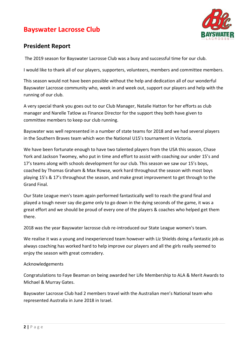

### **President Report**

The 2019 season for Bayswater Lacrosse Club was a busy and successful time for our club.

I would like to thank all of our players, supporters, volunteers, members and committee members.

This season would not have been possible without the help and dedication all of our wonderful Bayswater Lacrosse community who, week in and week out, support our players and help with the running of our club.

A very special thank you goes out to our Club Manager, Natalie Hatton for her efforts as club manager and Narelle Tatlow as Finance Director for the support they both have given to committee members to keep our club running.

Bayswater was well represented in a number of state teams for 2018 and we had several players in the Southern Braves team which won the National U15's tournament in Victoria.

We have been fortunate enough to have two talented players from the USA this season, Chase York and Jackson Twomey, who put in time and effort to assist with coaching our under 15's and 17's teams along with schools development for our club. This season we saw our 15's boys, coached by Thomas Graham & Max Rowse, work hard throughout the season with most boys playing 15's & 17's throughout the season, and make great improvement to get through to the Grand Final.

Our State League men's team again performed fantastically well to reach the grand final and played a tough never say die game only to go down in the dying seconds of the game, it was a great effort and we should be proud of every one of the players & coaches who helped get them there.

2018 was the year Bayswater lacrosse club re-introduced our State League women's team.

We realise it was a young and inexperienced team however with Liz Shields doing a fantastic job as always coaching has worked hard to help improve our players and all the girls really seemed to enjoy the season with great comradery.

### Acknowledgements

Congratulations to Faye Beaman on being awarded her Life Membership to ALA & Merit Awards to Michael & Murray Gates.

Bayswater Lacrosse Club had 2 members travel with the Australian men's National team who represented Australia in June 2018 in Israel.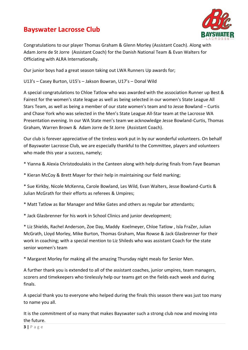

Congratulations to our player Thomas Graham & Glenn Morley (Assistant Coach). Along with Adam Jorre de St Jorre (Assistant Coach) for the Danish National Team & Evan Walters for Officiating with ALRA Internationally.

Our junior boys had a great season taking out LWA Runners Up awards for;

U13's – Casey Burton, U15's – Jakson Bowran, U17's – Donal Wild

A special congratulations to Chloe Tatlow who was awarded with the association Runner up Best & Fairest for the women's state league as well as being selected in our women's State League All Stars Team, as well as being a member of our state women's team and to Jesse Bowland – Curtis and Chase York who was selected in the Men's State League All-Star team at the Lacrosse WA Presentation evening. In our WA State men's team we acknowledge Jesse Bowland-Curtis, Thomas Graham, Warren Brown & Adam Jorre de St Jorre (Assistant Coach).

Our club is forever appreciative of the tireless work put in by our wonderful volunteers. On behalf of Bayswater Lacrosse Club, we are especially thankful to the Committee, players and volunteers who made this year a success, namely:

\* Yianna & Alexia Christodoulakis in the Canteen along with help during finals from Faye Beaman

\* Kieran McCoy & Brett Mayer for their help in maintaining our field marking;

\* Sue Kirkby, Nicole McKenna, Carole Bowland, Les Wild, Evan Walters, Jesse Bowland-Curtis & Julian McGrath for their efforts as referees & Umpires;

\* Matt Tatlow as Bar Manager and Mike Gates and others as regular bar attendants;

\* Jack Glasbrenner for his work in School Clinics and junior development;

\* Liz Shields, Rachel Anderson, Zoe Day, Maddy Koelmeyer, Chloe Tatlow , Isla FraZer, Julian McGrath, Lloyd Morley, Mike Burton, Thomas Graham, Max Rowse & Jack Glasbrenner for their work in coaching; with a special mention to Liz Shileds who was assistant Coach for the state senior women's team

\* Margaret Morley for making all the amazing Thursday night meals for Senior Men.

A further thank you is extended to all of the assistant coaches, junior umpires, team managers, scorers and timekeepers who tirelessly help our teams get on the fields each week and during finals.

A special thank you to everyone who helped during the finals this season there was just too many to name you all.

It is the commitment of so many that makes Bayswater such a strong club now and moving into the future.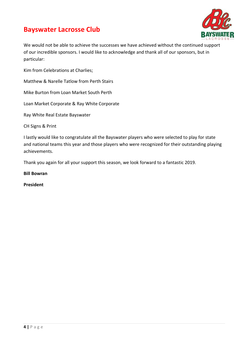



We would not be able to achieve the successes we have achieved without the continued support of our incredible sponsors. I would like to acknowledge and thank all of our sponsors, but in particular:

Kim from Celebrations at Charlies;

Matthew & Narelle Tatlow from Perth Stairs

Mike Burton from Loan Market South Perth

Loan Market Corporate & Ray White Corporate

Ray White Real Estate Bayswater

CH Signs & Print

I lastly would like to congratulate all the Bayswater players who were selected to play for state and national teams this year and those players who were recognized for their outstanding playing achievements.

Thank you again for all your support this season, we look forward to a fantastic 2019.

**Bill Bowran**

**President**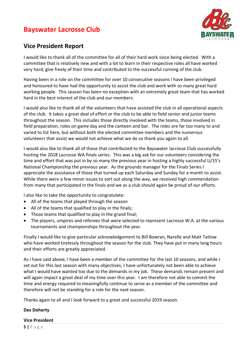

### **Vice President Report**

I would like to thank all of the committee for all of their hard work since being elected. With a committee that is relatively new and with a lot to learn in their respective roles all have worked very hard, give freely of their time and contributed to the successful running of the club.

Having been in a role on the committee for over 10 consecutive seasons I have been privileged and honoured to have had the opportunity to assist the club and work with so many great hard working people. This season has been no exception with an extremely great team that has worked hard in the best interest of the club and our members.

I would also like to thank all of the volunteers that have assisted the club in all operational aspects of the club. It takes a great deal of effort or the club to be able to field senior and junior teams throughout the season. This includes those directly involved with the teams, those involved in field preparation, roles on game day and the canteen and bar. The roles are far too many to and varied to list here, but without both the elected committee members and the numerous volunteers that assist we would not achieve what we do so thank you again to all.

I would also like to thank all of those that contributed to the Bayswater lacrosse Club successfully hosting the 2018 Lacrosse WA finals series. This was a big ask for our volunteers considering the time and effort that was put in by so many the previous year in hosting a highly successful U/15's National Championship the previous year. As the grounds manager for the Finals Series I appreciate the assistance of those that turned up each Saturday and Sunday for a month to assist. While there were a few minor issues to sort out along the way, we received high commendation from many that participated in the finals and we as a club should again be proud of our efforts.

I also like to take the opportunity to congratulate:

- All of the teams that played through the season
- All of the teams that qualified to play in the finals;
- Those teams that qualified to play in the grand final;
- The players, umpires and referees that were selected to represent Lacrosse W.A. at the various tournaments and championships throughout the year.

Finally I would like to give particular acknowledgement to Bill Bowran, Narelle and Matt Tatlow who have worked tirelessly throughout the season for the club. They have put in many long hours and their efforts are greatly appreciated.

As I have said above, I have been a member of the committee for the last 10 seasons, and while I set out for this last season with many objectives, I have unfortunately not been able to achieve what I would have wanted too due to the demands in my job. These demands remain present and will again impact a great deal of my time over this year. I am therefore not able to commit the time and energy required to meaningfully continue to serve as a member of the committee and therefore will not be standing for a role for the next season.

Thanks again to all and I look forward to a great and successful 2019 season.

### **Des Doherty**

### **Vice President**

**5 |** P a g e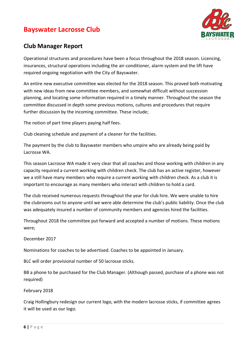

### **Club Manager Report**

Operational structures and procedures have been a focus throughout the 2018 season. Licencing, insurances, structural operations including the air-conditioner, alarm system and the lift have required ongoing negotiation with the City of Bayswater.

An entire new executive committee was elected for the 2018 season. This proved both motivating with new ideas from new committee members, and somewhat difficult without succession planning, and locating some information required in a timely manner. Throughout the season the committee discussed in depth some previous motions, cultures and procedures that require further discussion by the incoming committee. These include;

The notion of part time players paying half fees.

Club cleaning schedule and payment of a cleaner for the facilities.

The payment by the club to Bayswater members who umpire who are already being paid by Lacrosse WA.

This season Lacrosse WA made it very clear that all coaches and those working with children in any capacity required a current working with children check. The club has an active register, however we a still have many members who require a current working with children check. As a club it is important to encourage as many members who interact with children to hold a card.

The club received numerous requests throughout the year for club hire. We were unable to hire the clubrooms out to anyone until we were able determine the club's public liability. Once the club was adequately insured a number of community members and agencies hired the facilities.

Throughout 2018 the committee put forward and accepted a number of motions. These motions were;

December 2017

Nominations for coaches to be advertised. Coaches to be appointed in January.

BLC will order provisional number of 50 lacrosse sticks.

BB a phone to be purchased for the Club Manager. (Although passed, purchase of a phone was not required)

February 2018

Craig Hollingbury redesign our current logo, with the modern lacrosse sticks, if committee agrees it will be used as our logo.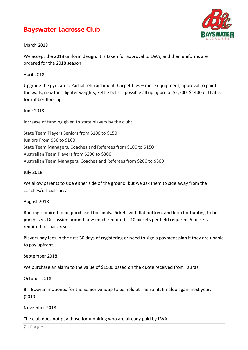

### March 2018

We accept the 2018 uniform design. It is taken for approval to LWA, and then uniforms are ordered for the 2018 season.

### April 2018

Upgrade the gym area. Partial refurbishment. Carpet tiles – more equipment, approval to paint the walls, new fans, lighter weights, kettle bells. - possible all up figure of \$2,500. \$1400 of that is for rubber flooring.

### June 2018

Increase of funding given to state players by the club;

State Team Players Seniors from \$100 to \$150 Juniors From \$50 to \$100 State Team Managers, Coaches and Referees from \$100 to \$150 Australian Team Players from \$200 to \$300 Australian Team Managers, Coaches and Referees from \$200 to \$300

### July 2018

We allow parents to side either side of the ground, but we ask them to side away from the coaches/officials area.

### August 2018

Bunting required to be purchased for finals. Pickets with flat bottom, and loop for bunting to be purchased. Discussion around how much required. - 10 pickets per field required. 5 pickets required for bar area.

Players pay fees in the first 30 days of registering or need to sign a payment plan if they are unable to pay upfront.

September 2018

We purchase an alarm to the value of \$1500 based on the quote received from Tauras.

October 2018

Bill Bowran motioned for the Senior windup to be held at The Saint, Innaloo again next year. (2019)

November 2018

The club does not pay those for umpiring who are already paid by LWA.

**7 |** P a g e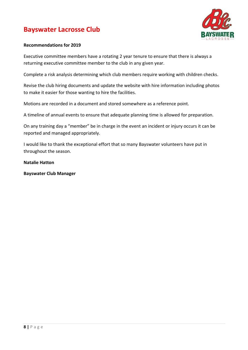

### **Recommendations for 2019**

Executive committee members have a rotating 2 year tenure to ensure that there is always a returning executive committee member to the club in any given year.

Complete a risk analysis determining which club members require working with children checks.

Revise the club hiring documents and update the website with hire information including photos to make it easier for those wanting to hire the facilities.

Motions are recorded in a document and stored somewhere as a reference point.

A timeline of annual events to ensure that adequate planning time is allowed for preparation.

On any training day a "member" be in charge in the event an incident or injury occurs it can be reported and managed appropriately.

I would like to thank the exceptional effort that so many Bayswater volunteers have put in throughout the season.

### **Natalie Hatton**

**Bayswater Club Manager**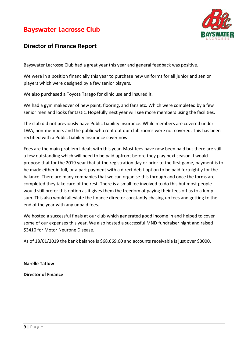

### **Director of Finance Report**

Bayswater Lacrosse Club had a great year this year and general feedback was positive.

We were in a position financially this year to purchase new uniforms for all junior and senior players which were designed by a few senior players.

We also purchased a Toyota Tarago for clinic use and insured it.

We had a gym makeover of new paint, flooring, and fans etc. Which were completed by a few senior men and looks fantastic. Hopefully next year will see more members using the facilities.

The club did not previously have Public Liability insurance. While members are covered under LWA, non-members and the public who rent out our club rooms were not covered. This has been rectified with a Public Liability Insurance cover now.

Fees are the main problem I dealt with this year. Most fees have now been paid but there are still a few outstanding which will need to be paid upfront before they play next season. I would propose that for the 2019 year that at the registration day or prior to the first game, payment is to be made either in full, or a part payment with a direct debit option to be paid fortnightly for the balance. There are many companies that we can organise this through and once the forms are completed they take care of the rest. There is a small fee involved to do this but most people would still prefer this option as it gives them the freedom of paying their fees off as to a lump sum. This also would alleviate the finance director constantly chasing up fees and getting to the end of the year with any unpaid fees.

We hosted a successful finals at our club which generated good income in and helped to cover some of our expenses this year. We also hosted a successful MND fundraiser night and raised \$3410 for Motor Neurone Disease.

As of 18/01/2019 the bank balance is \$68,669.60 and accounts receivable is just over \$3000.

**Narelle Tatlow**

**Director of Finance**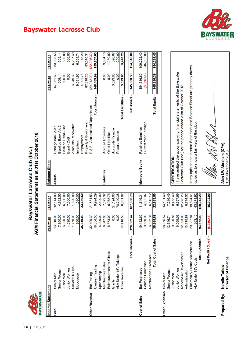**BAYSWATER** 

# AGM Financial Statements as at 31st October 2018 Bayswater Lacrosse Club (Inc.)

| Income Statement     |                                | 31-Oct-18  | 31-Oct-17  | <b>Balance Sheet</b>  |                                                                         |                            | 31-Oct-18  | $31 -$        |
|----------------------|--------------------------------|------------|------------|-----------------------|-------------------------------------------------------------------------|----------------------------|------------|---------------|
| Fees                 | <b>Senior Men</b>              | 13,810.00  | 12,144.00  | Assets                | Bendigo Bank A/c 1                                                      |                            | 67,961.68  | $\infty$      |
|                      | Senior Women                   | 7,860.00   | 4,992.50   |                       | Bendigo Bank A/c 2                                                      |                            | 509.14     |               |
|                      | <b>Junior Men</b>              | 6,920.00   | 6,880.00   |                       | Cash on Hand - Bar                                                      |                            | 500.00     |               |
|                      | Junior Women                   | 4,590.00   | 7,000.00   |                       | Bond - CoB                                                              |                            | 0.00       |               |
|                      | Social/100 Club                | 1,770.00   | 1,620.00   |                       | Accounts Receivable                                                     |                            | 6,949.30   |               |
|                      | Modcrosse                      | 360.00     | 1,020.00   |                       | Inventory                                                               |                            | 9,091.95   |               |
|                      |                                | 35,310.00  | 33,656.50  |                       | Prepayments                                                             |                            | 4,991.75   |               |
|                      |                                |            |            |                       | Property & Equipment                                                    |                            | 87,618.26  | $\infty$      |
| <b>Other Revenue</b> | Bar Trading                    | 32,499.39  | 21,581.53  |                       | P & E - Accumulated Depreciation                                        |                            | 29,212.09) | (22)          |
|                      | Canteen Trading                | 18,354.50  | 9,924.29   |                       |                                                                         | <b>Total Assets -</b>      | 148,409.99 | <b>.51</b>    |
|                      | Sponsorship                    | 5,000.00   | 2,500.00   |                       |                                                                         |                            |            |               |
|                      | Merchandise Sales              | 6,347.00   | 7,072.32   | Liabilities           | <b>Accrued Expenses</b>                                                 |                            | 0.00       |               |
|                      | Reimbursement for Clinics      | 5,373.00   | 6,978.75   |                       | Other Liabilities                                                       |                            | 0.00       |               |
|                      | Grants                         | 0.00       | 21,194.00  |                       | <b>Accounts Payable</b>                                                 |                            | 3,029.60   |               |
|                      | ALA Under 15's Takings         | 0.00       | 78,240.38  |                       | Prepaid Income                                                          |                            | 0.00       |               |
|                      | Other Revenue                  | 17,418.58  | 6,851.02   |                       |                                                                         | <b>Total Liabilities -</b> | 3,029.60   |               |
|                      |                                |            |            |                       |                                                                         |                            |            |               |
|                      | Income-<br><b>Total</b>        | 120,302.47 | 187,998.79 |                       |                                                                         | Net Assets -               | 145,380.39 | $\frac{1}{2}$ |
|                      |                                |            |            |                       |                                                                         |                            |            |               |
| Cost of Sales        | Bar Purchases                  | 19,482.60  | 11,846.31  | <b>Members Equity</b> | <b>Retained Earnings</b>                                                |                            | 154,316.80 | $rac{1}{2}$   |
|                      | <b>Canteen Purchases</b>       | 9,650.98   | 4,692.07   |                       | Current Year Earnings                                                   |                            | 8,936.41   | $\ddot{4}$    |
|                      | Merchandise Purchases          | 6,532.31   | 6,145.12   |                       |                                                                         |                            |            |               |
|                      | of Sales-<br><b>Total Cost</b> | 35,665.89  | 22,683.50  |                       |                                                                         | <b>Total Equity -</b>      | 145,380.39 | ÷             |
|                      |                                |            |            |                       |                                                                         |                            |            |               |
| Other Expenses       | Senior Men                     | 18,976.57  | 14,161.40  |                       |                                                                         |                            |            |               |
|                      | <b>Senior Women</b>            | 12,346.74  | 7,216.49   |                       |                                                                         |                            |            |               |
|                      | <b>Junior Men</b>              | 9,320.81   | 8,453.40   | <b>CERTIFICATION</b>  |                                                                         |                            |            |               |
|                      | <b>Junior Women</b>            | 6,069.03   | 6,597.69   |                       | I have audited the accompanying financial statements of the Bayswater   |                            |            |               |
|                      | Modcrosse/Development          | 12,693.03  | 12,273.26  |                       | Lacrosse Club (Inc.) for the period ended 31st of October 2018.         |                            |            |               |
|                      | Administration                 | 13,115.87  | 8,714.52   |                       |                                                                         |                            |            |               |
|                      | Clubroom & Ground Maintenance  | 20,087.84  | 19,524.61  |                       | In my opinion the Income Statement and Balance Sheet are properly drawn |                            |            |               |
|                      | <b>ALA Under 15's Costs</b>    | 963.10     | 43,371.92  |                       | up so as to show a fair view of the club.                               |                            |            |               |
|                      | <b>Total Expenses</b>          | 93,572.99  | 120,313.29 |                       |                                                                         |                            |            |               |
|                      |                                |            |            |                       |                                                                         |                            |            |               |
|                      | Net Profit / (Loss)            | (8,936.41) | 45,002.00  |                       |                                                                         |                            |            |               |
|                      |                                |            |            |                       |                                                                         |                            |            |               |
|                      |                                |            |            |                       |                                                                         |                            |            |               |

# **Bayswater Lacrosse Club**

509.14<br>500.00<br>500.00

83,998.56

31-Oct-17

178.20

83,510.31

6,287.40 6,569.74  $\frac{(22,296.32)}{159,757.03}$ 

1,250.00 326.07

5,440.23

154,316.80

109,222.40

45,002.00

154,224.40

3,664.16



**Narelle Tatlow<br>Director of Finance** Prepared By:

15th November 2018

Alan LW Abraham (CPA)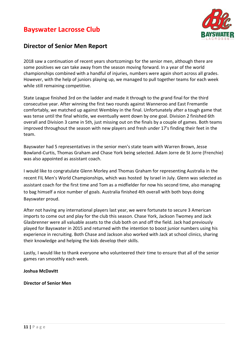

### **Director of Senior Men Report**

2018 saw a continuation of recent years shortcomings for the senior men, although there are some positives we can take away from the season moving forward. In a year of the world championships combined with a handful of injuries, numbers were again short across all grades. However, with the help of juniors playing up, we managed to pull together teams for each week while still remaining competitive.

State League finished 3rd on the ladder and made it through to the grand final for the third consecutive year. After winning the first two rounds against Wanneroo and East Fremantle comfortably, we matched up against Wembley in the final. Unfortunately after a tough game that was tense until the final whistle, we eventually went down by one goal. Division 2 finished 6th overall and Division 3 came in 5th, just missing out on the finals by a couple of games. Both teams improved throughout the season with new players and fresh under 17's finding their feet in the team.

Bayswater had 5 representatives in the senior men's state team with Warren Brown, Jesse Bowland-Curtis, Thomas Graham and Chase York being selected. Adam Jorre de St Jorre (Frenchie) was also appointed as assistant coach.

I would like to congratulate Glenn Morley and Thomas Graham for representing Australia in the recent FIL Men's World Championships, which was hosted by Israel in July. Glenn was selected as assistant coach for the first time and Tom as a midfielder for now his second time, also managing to bag himself a nice number of goals. Australia finished 4th overall with both boys doing Bayswater proud.

After not having any international players last year, we were fortunate to secure 3 American imports to come out and play for the club this season. Chase York, Jackson Twomey and Jack Glasbrenner were all valuable assets to the club both on and off the field. Jack had previously played for Bayswater in 2015 and returned with the intention to boost junior numbers using his experience in recruiting. Both Chase and Jackson also worked with Jack at school clinics, sharing their knowledge and helping the kids develop their skills.

Lastly, I would like to thank everyone who volunteered their time to ensure that all of the senior games ran smoothly each week.

### **Joshua McDavitt**

**Director of Senior Men**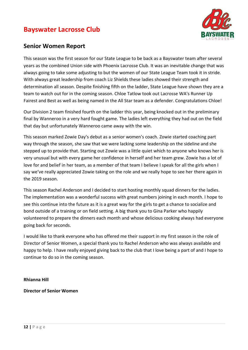

### **Senior Women Report**

This season was the first season for our State League to be back as a Bayswater team after several years as the combined Union side with Phoenix Lacrosse Club. It was an inevitable change that was always going to take some adjusting to but the women of our State League Team took it in stride. With always great leadership from coach Liz Shields these ladies showed their strength and determination all season. Despite finishing fifth on the ladder, State League have shown they are a team to watch out for in the coming season. Chloe Tatlow took out Lacrosse WA's Runner Up Fairest and Best as well as being named in the All Star team as a defender. Congratulations Chloe!

Our Division 2 team finished fourth on the ladder this year, being knocked out in the preliminary final by Wanneroo in a very hard fought game. The ladies left everything they had out on the field that day but unfortunately Wanneroo came away with the win.

This season marked Zowie Day's debut as a senior women's coach. Zowie started coaching part way through the season, she saw that we were lacking some leadership on the sideline and she stepped up to provide that. Starting out Zowie was a little quiet which to anyone who knows her is very unusual but with every game her confidence in herself and her team grew. Zowie has a lot of love for and belief in her team, as a member of that team I believe I speak for all the girls when I say we've really appreciated Zowie taking on the role and we really hope to see her there again in the 2019 season.

This season Rachel Anderson and I decided to start hosting monthly squad dinners for the ladies. The implementation was a wonderful success with great numbers joining in each month. I hope to see this continue into the future as it is a great way for the girls to get a chance to socialize and bond outside of a training or on field setting. A big thank you to Gina Parker who happily volunteered to prepare the dinners each month and whose delicious cooking always had everyone going back for seconds.

I would like to thank everyone who has offered me their support in my first season in the role of Director of Senior Women, a special thank you to Rachel Anderson who was always available and happy to help. I have really enjoyed giving back to the club that I love being a part of and I hope to continue to do so in the coming season.

**Rhianna Hill**

**Director of Senior Women**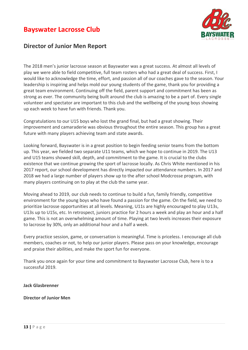

### **Director of Junior Men Report**

The 2018 men's junior lacrosse season at Bayswater was a great success. At almost all levels of play we were able to field competitive, full team rosters who had a great deal of success. First, I would like to acknowledge the time, effort, and passion all of our coaches gave to the season. Your leadership is inspiring and helps mold our young students of the game, thank you for providing a great team environment. Continuing off the field, parent support and commitment has been as strong as ever. The community being built around the club is amazing to be a part of. Every single volunteer and spectator are important to this club and the wellbeing of the young boys showing up each week to have fun with friends. Thank you.

Congratulations to our U15 boys who lost the grand final, but had a great showing. Their improvement and camaraderie was obvious throughout the entire season. This group has a great future with many players achieving team and state awards.

Looking forward, Bayswater is in a great position to begin feeding senior teams from the bottom up. This year, we fielded two separate U11 teams, which we hope to continue in 2019. The U13 and U15 teams showed skill, depth, and commitment to the game. It is crucial to the clubs existence that we continue growing the sport of lacrosse locally. As Chris White mentioned in his 2017 report, our school development has directly impacted our attendance numbers. In 2017 and 2018 we had a large number of players show up to the after school Modcrosse program, with many players continuing on to play at the club the same year.

Moving ahead to 2019, our club needs to continue to build a fun, family friendly, competitive environment for the young boys who have found a passion for the game. On the field, we need to prioritize lacrosse opportunities at all levels. Meaning, U11s are highly encouraged to play U13s, U13s up to U15s, etc. In retrospect, juniors practice for 2 hours a week and play an hour and a half game. This is not an overwhelming amount of time. Playing at two levels increases their exposure to lacrosse by 30%, only an additional hour and a half a week.

Every practice session, game, or conversation is meaningful. Time is priceless. I encourage all club members, coaches or not, to help our junior players. Please pass on your knowledge, encourage and praise their abilities, and make the sport fun for everyone.

Thank you once again for your time and commitment to Bayswater Lacrosse Club, here is to a successful 2019.

### **Jack Glasbrenner**

### **Director of Junior Men**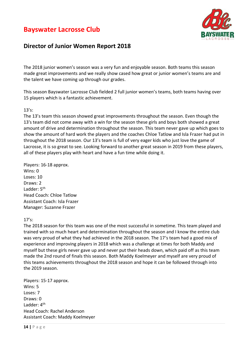



### **Director of Junior Women Report 2018**

The 2018 junior women's season was a very fun and enjoyable season. Both teams this season made great improvements and we really show cased how great or junior women's teams are and the talent we have coming up through our grades.

This season Bayswater Lacrosse Club fielded 2 full junior women's teams, both teams having over 15 players which is a fantastic achievement.

### 13's:

The 13's team this season showed great improvements throughout the season. Even though the 13's team did not come away with a win for the season these girls and boys both showed a great amount of drive and determination throughout the season. This team never gave up which goes to show the amount of hard work the players and the coaches Chloe Tatlow and Isla Frazer had put in throughout the 2018 season. Our 13's team is full of very eager kids who just love the game of Lacrosse, it is so great to see. Looking forward to another great season in 2019 from these players, all of these players play with heart and have a fun time while doing it.

Players: 16-18 approx. Wins: 0 Loses: 10 Draws: 2 Ladder: 5<sup>th</sup> Head Coach: Chloe Tatlow Assistant Coach: Isla Frazer Manager: Suzanne Frazer

### 17's:

The 2018 season for this team was one of the most successful in sometime. This team played and trained with so much heart and determination throughout the season and I know the entire club was very proud of what they had achieved in the 2018 season. The 17's team had a good mix of experience and improving players in 2018 which was a challenge at times for both Maddy and myself but these girls never gave up and never put their heads down, which paid off as this team made the 2nd round of finals this season. Both Maddy Koelmeyer and myself are very proud of this teams achievements throughout the 2018 season and hope it can be followed through into the 2019 season.

Players: 15-17 approx. Wins: 5 Loses: 7 Draws: 0 Ladder: 4<sup>th</sup> Head Coach: Rachel Anderson Assistant Coach: Maddy Koelmeyer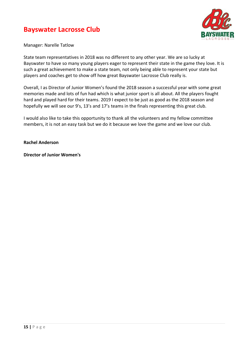

Manager: Narelle Tatlow

State team representatives in 2018 was no different to any other year. We are so lucky at Bayswater to have so many young players eager to represent their state in the game they love. It is such a great achievement to make a state team, not only being able to represent your state but players and coaches get to show off how great Bayswater Lacrosse Club really is.

Overall, I as Director of Junior Women's found the 2018 season a successful year with some great memories made and lots of fun had which is what junior sport is all about. All the players fought hard and played hard for their teams. 2019 I expect to be just as good as the 2018 season and hopefully we will see our 9's, 13's and 17's teams in the finals representing this great club.

I would also like to take this opportunity to thank all the volunteers and my fellow committee members, it is not an easy task but we do it because we love the game and we love our club.

### **Rachel Anderson**

**Director of Junior Women's**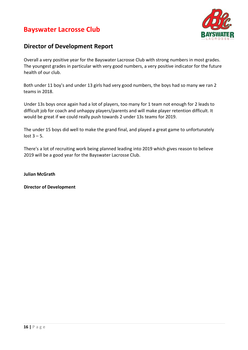

### **Director of Development Report**

Overall a very positive year for the Bayswater Lacrosse Club with strong numbers in most grades. The youngest grades in particular with very good numbers, a very positive indicator for the future health of our club.

Both under 11 boy's and under 13 girls had very good numbers, the boys had so many we ran 2 teams in 2018.

Under 13s boys once again had a lot of players, too many for 1 team not enough for 2 leads to difficult job for coach and unhappy players/parents and will make player retention difficult. It would be great if we could really push towards 2 under 13s teams for 2019.

The under 15 boys did well to make the grand final, and played a great game to unfortunately  $lost 3 - 5.$ 

There's a lot of recruiting work being planned leading into 2019 which gives reason to believe 2019 will be a good year for the Bayswater Lacrosse Club.

**Julian McGrath** 

**Director of Development**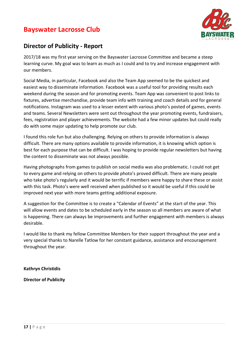

### **Director of Publicity - Report**

2017/18 was my first year serving on the Bayswater Lacrosse Committee and became a steep learning curve. My goal was to learn as much as I could and to try and increase engagement with our members.

Social Media, in particular, Facebook and also the Team App seemed to be the quickest and easiest way to disseminate information. Facebook was a useful tool for providing results each weekend during the season and for promoting events. Team App was convenient to post links to fixtures, advertise merchandise, provide team info with training and coach details and for general notifications. Instagram was used to a lesser extent with various photo's posted of games, events and teams. Several Newsletters were sent out throughout the year promoting events, fundraisers, fees, registration and player achievements. The website had a few minor updates but could really do with some major updating to help promote our club.

I found this role fun but also challenging. Relying on others to provide information is always difficult. There are many options available to provide information, it is knowing which option is best for each purpose that can be difficult. I was hoping to provide regular newsletters but having the content to disseminate was not always possible.

Having photographs from games to publish on social media was also problematic. I could not get to every game and relying on others to provide photo's proved difficult. There are many people who take photo's regularly and it would be terrific if members were happy to share these or assist with this task. Photo's were well received when published so it would be useful if this could be improved next year with more teams getting additional exposure.

A suggestion for the Committee is to create a "Calendar of Events" at the start of the year. This will allow events and dates to be scheduled early in the season so all members are aware of what is happening. There can always be improvements and further engagement with members is always desirable.

I would like to thank my fellow Committee Members for their support throughout the year and a very special thanks to Narelle Tatlow for her constant guidance, assistance and encouragement throughout the year.

**Kathryn Christidis**

**Director of Publicity**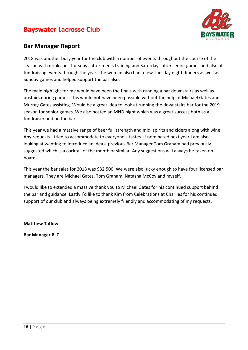

### **Bar Manager Report**

2018 was another busy year for the club with a number of events throughout the course of the season with drinks on Thursdays after men's training and Saturdays after senior games and also at fundraising events through the year. The woman also had a few Tuesday night dinners as well as Sunday games and helped support the bar also.

The main highlight for me would have been the finals with running a bar downstairs as well as upstairs during games. This would not have been possible without the help of Michael Gates and Murray Gates assisting. Would be a great idea to look at running the downstairs bar for the 2019 season for senior games. We also hosted an MND night which was a great success both as a fundraiser and on the bar.

This year we had a massive range of beer full strength and mid, spirits and ciders along with wine. Any requests I tried to accommodate to everyone's tastes. If nominated next year I am also looking at wanting to introduce an idea a previous Bar Manager Tom Graham had previously suggested which is a cocktail of the month or similar. Any suggestions will always be taken on board.

This year the bar sales for 2018 was \$32,500. We were also lucky enough to have four licensed bar managers. They are Michael Gates, Tom Graham, Natasha McCoy and myself.

I would like to extended a massive thank you to Michael Gates for his continued support behind the bar and guidance. Lastly I'd like to thank Kim from Celebrations at Charlies for his continued support of our club and always being extremely friendly and accommodating of my requests.

**Matthew Tatlow**

**Bar Manager BLC**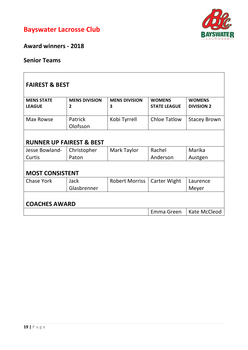



**Award winners - 2018**

# **Senior Teams**

| <b>FAIREST &amp; BEST</b>           |                                        |                           |                                      |                                    |  |
|-------------------------------------|----------------------------------------|---------------------------|--------------------------------------|------------------------------------|--|
| <b>MENS STATE</b><br><b>LEAGUE</b>  | <b>MENS DIVISION</b><br>$\overline{2}$ | <b>MENS DIVISION</b><br>3 | <b>WOMENS</b><br><b>STATE LEAGUE</b> | <b>WOMENS</b><br><b>DIVISION 2</b> |  |
| Max Rowse                           | Patrick<br>Olofsson                    | Kobi Tyrrell              | <b>Chloe Tatlow</b>                  | <b>Stacey Brown</b>                |  |
| <b>RUNNER UP FAIREST &amp; BEST</b> |                                        |                           |                                      |                                    |  |
| Jesse Bowland-                      | Christopher                            | Mark Taylor               | Rachel                               | Marika                             |  |
| Curtis                              | Paton                                  |                           | Anderson                             | Austgen                            |  |
| <b>MOST CONSISTENT</b>              |                                        |                           |                                      |                                    |  |
| <b>Chase York</b>                   | Jack                                   | <b>Robert Morriss</b>     | Carter Wight                         | Laurence                           |  |
|                                     | Glasbrenner                            |                           |                                      | Meyer                              |  |
| <b>COACHES AWARD</b>                |                                        |                           |                                      |                                    |  |
|                                     |                                        |                           | Emma Green                           | Kate McCleod                       |  |